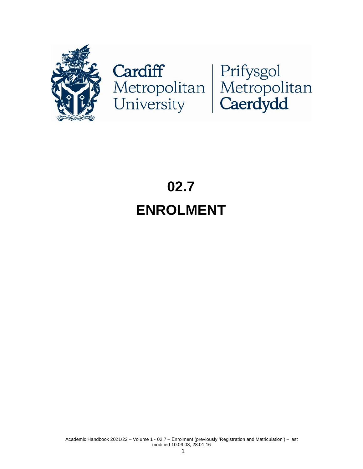

# Cardiff<br>Metropolitan Metropolitan<br>University Caerdydd

# **02.7 ENROLMENT**

Academic Handbook 2021/22 – Volume 1 - 02.7 – Enrolment (previously 'Registration and Matriculation') – last modified 10.09.08, 28.01.16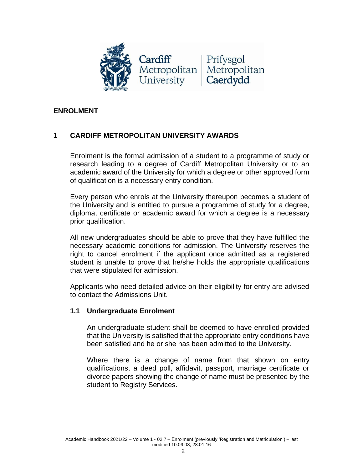

#### **ENROLMENT**

# **1 CARDIFF METROPOLITAN UNIVERSITY AWARDS**

Enrolment is the formal admission of a student to a programme of study or research leading to a degree of Cardiff Metropolitan University or to an academic award of the University for which a degree or other approved form of qualification is a necessary entry condition.

Every person who enrols at the University thereupon becomes a student of the University and is entitled to pursue a programme of study for a degree, diploma, certificate or academic award for which a degree is a necessary prior qualification.

All new undergraduates should be able to prove that they have fulfilled the necessary academic conditions for admission. The University reserves the right to cancel enrolment if the applicant once admitted as a registered student is unable to prove that he/she holds the appropriate qualifications that were stipulated for admission.

Applicants who need detailed advice on their eligibility for entry are advised to contact the Admissions Unit.

#### **1.1 Undergraduate Enrolment**

An undergraduate student shall be deemed to have enrolled provided that the University is satisfied that the appropriate entry conditions have been satisfied and he or she has been admitted to the University.

Where there is a change of name from that shown on entry qualifications, a deed poll, affidavit, passport, marriage certificate or divorce papers showing the change of name must be presented by the student to Registry Services.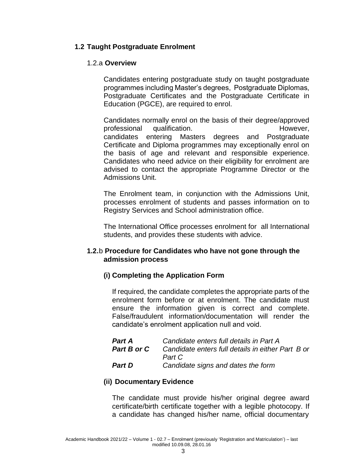#### **1.2 Taught Postgraduate Enrolment**

#### 1.2.a **Overview**

Candidates entering postgraduate study on taught postgraduate programmes including Master's degrees, Postgraduate Diplomas, Postgraduate Certificates and the Postgraduate Certificate in Education (PGCE), are required to enrol.

Candidates normally enrol on the basis of their degree/approved professional qualification. However, candidates entering Masters degrees and Postgraduate Certificate and Diploma programmes may exceptionally enrol on the basis of age and relevant and responsible experience. Candidates who need advice on their eligibility for enrolment are advised to contact the appropriate Programme Director or the Admissions Unit.

The Enrolment team, in conjunction with the Admissions Unit, processes enrolment of students and passes information on to Registry Services and School administration office.

The International Office processes enrolment for all International students, and provides these students with advice.

#### **1.2.**b **Procedure for Candidates who have not gone through the admission process**

#### **(i) Completing the Application Form**

If required, the candidate completes the appropriate parts of the enrolment form before or at enrolment. The candidate must ensure the information given is correct and complete. False/fraudulent information/documentation will render the candidate's enrolment application null and void.

| <b>Part A</b> | Candidate enters full details in Part A           |
|---------------|---------------------------------------------------|
| Part B or C   | Candidate enters full details in either Part B or |
|               | Part C                                            |
| <b>Part D</b> | Candidate signs and dates the form                |

#### **(ii) Documentary Evidence**

The candidate must provide his/her original degree award certificate/birth certificate together with a legible photocopy. If a candidate has changed his/her name, official documentary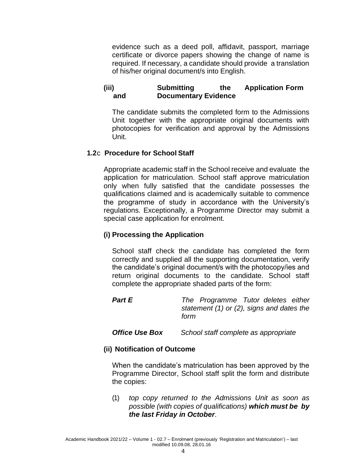evidence such as a deed poll, affidavit, passport, marriage certificate or divorce papers showing the change of name is required. If necessary, a candidate should provide a translation of his/her original document/s into English.

# **(iii) Submitting the Application Form and Documentary Evidence**

The candidate submits the completed form to the Admissions Unit together with the appropriate original documents with photocopies for verification and approval by the Admissions Unit.

#### **1.2**c **Procedure for School Staff**

Appropriate academic staff in the School receive and evaluate the application for matriculation. School staff approve matriculation only when fully satisfied that the candidate possesses the qualifications claimed and is academically suitable to commence the programme of study in accordance with the University's regulations. Exceptionally, a Programme Director may submit a special case application for enrolment.

#### **(i) Processing the Application**

School staff check the candidate has completed the form correctly and supplied all the supporting documentation, verify the candidate's original document/s with the photocopy/ies and return original documents to the candidate. School staff complete the appropriate shaded parts of the form:

#### *Part E The Programme Tutor deletes either statement (1) or (2), signs and dates the form*

*Office Use Box School staff complete as appropriate*

#### **(ii) Notification of Outcome**

When the candidate's matriculation has been approved by the Programme Director, School staff split the form and distribute the copies:

(1) *top copy returned to the Admissions Unit as soon as possible (with copies of qualifications) which must be by the last Friday in October*.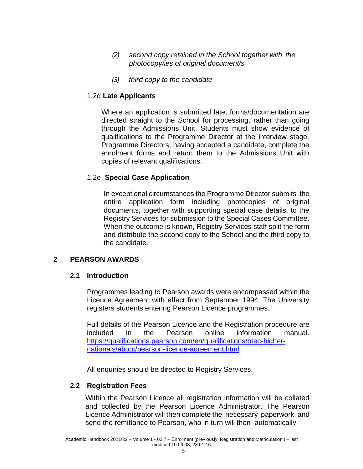- *(2) second copy retained in the School together with the photocopy/ies of original document/s*
- *(3) third copy to the candidate*

#### 1.2d **Late Applicants**

Where an application is submitted late, forms/documentation are directed straight to the School for processing, rather than going through the Admissions Unit. Students must show evidence of qualifications to the Programme Director at the interview stage. Programme Directors, having accepted a candidate, complete the enrolment forms and return them to the Admissions Unit with copies of relevant qualifications.

# 1.2e **Special Case Application**

In exceptional circumstances the Programme Director submits the entire application form including photocopies of original documents, together with supporting special case details, to the Registry Services for submission to the Special Cases Committee. When the outcome is known, Registry Services staff split the form and distribute the second copy to the School and the third copy to the candidate.

#### **2 PEARSON AWARDS**

#### **2.1 Introduction**

Programmes leading to Pearson awards were encompassed within the Licence Agreement with effect from September 1994. The University registers students entering Pearson Licence programmes.

Full details of the Pearson Licence and the Registration procedure are included in the Pearson online information manual. [https://qualifications.pearson.com/en/qualifications/btec-higher](https://qualifications.pearson.com/en/qualifications/btec-higher-nationals/about/pearson-licence-agreement.html)[nationals/about/pearson-licence-agreement.html](https://qualifications.pearson.com/en/qualifications/btec-higher-nationals/about/pearson-licence-agreement.html)

All enquiries should be directed to Registry Services.

#### **2.2 Registration Fees**

Within the Pearson Licence all registration information will be collated and collected by the Pearson Licence Administrator. The Pearson Licence Administrator will then complete the necessary paperwork, and send the remittance to Pearson, who in turn will then automatically